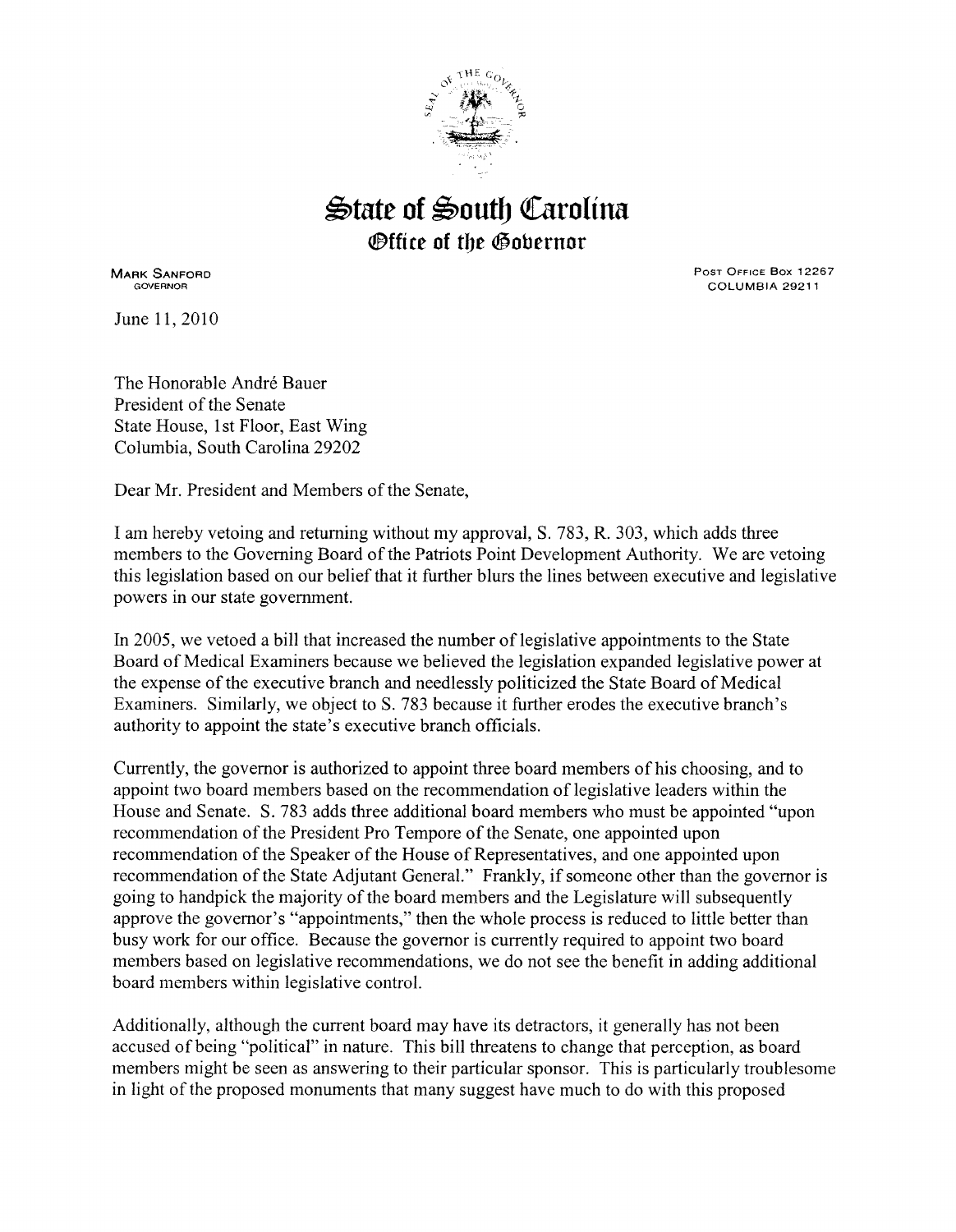

## $\triangle$ tate of  $\triangleq$ outh Carolina *<b>@ffice of the Gobernor*

MARK SANFORD GOVERNOR

June 11, 2010

PosT OFFICE Box 12267 COLUMBIA 29211

The Honorable Andre Bauer President of the Senate State House, 1st Floor, East Wing Columbia, South Carolina 29202

Dear Mr. President and Members of the Senate,

I am hereby vetoing and returning without my approval, S. 783, R. 303, which adds three members to the Governing Board of the Patriots Point Development Authority. We are vetoing this legislation based on our belief that it further blurs the lines between executive and legislative powers in our state government.

In 2005, we vetoed a bill that increased the number of legislative appointments to the State Board of Medical Examiners because we believed the legislation expanded legislative power at the expense of the executive branch and needlessly politicized the State Board of Medical Examiners. Similarly, we object to S. 783 because it further erodes the executive branch's authority to appoint the state's executive branch officials.

Currently, the governor is authorized to appoint three board members of his choosing, and to appoint two board members based on the recommendation of legislative leaders within the House and Senate. S. 783 adds three additional board members who must be appointed "upon recommendation of the President Pro Tempore of the Senate, one appointed upon recommendation of the Speaker of the House of Representatives, and one appointed upon recommendation of the State Adjutant General." Frankly, if someone other than the governor is going to handpick the majority of the board members and the Legislature will subsequently approve the governor's "appointments," then the whole process is reduced to little better than busy work for our office. Because the governor is currently required to appoint two board members based on legislative recommendations, we do not see the benefit in adding additional board members within legislative control.

Additionally, although the current board may have its detractors, it generally has not been accused of being "political" in nature. This bill threatens to change that perception, as board members might be seen as answering to their particular sponsor. This is particularly troublesome in light of the proposed monuments that many suggest have much to do with this proposed